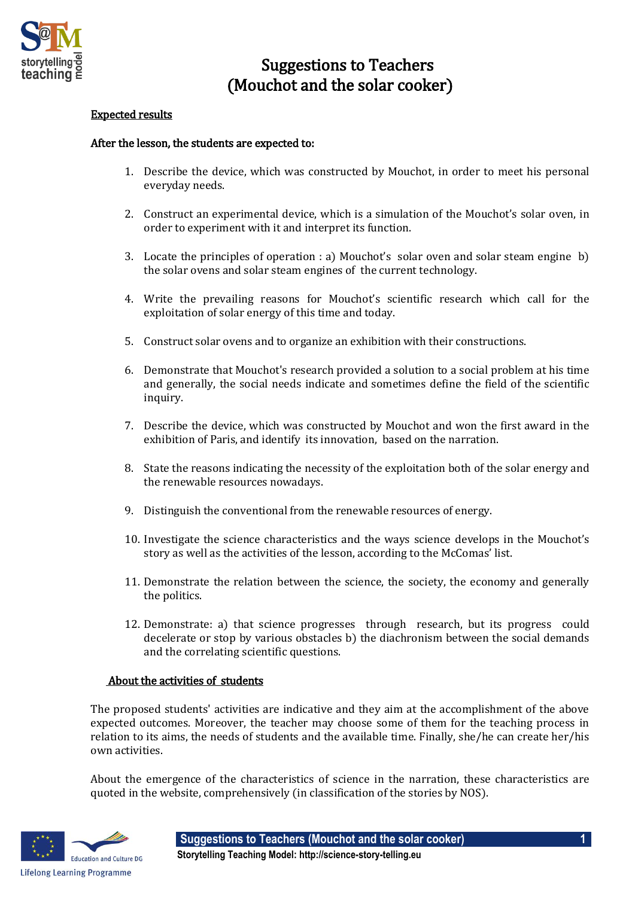

## Suggestions to Teachers (Mouchot and the solar cooker)

## Expected results

## After the lesson, the students are expected to:

- 1. Describe the device, which was constructed by Mouchot, in order to meet his personal everyday needs.
- 2. Construct an experimental device, which is a simulation of the Mouchot's solar oven, in order to experiment with it and interpret its function.
- 3. Locate the principles of operation : a) Mouchot's solar oven and solar steam engine b) the solar ovens and solar steam engines of the current technology.
- 4. Write the prevailing reasons for Mouchot's scientific research which call for the exploitation of solar energy of this time and today.
- 5. Construct solar ovens and to organize an exhibition with their constructions.
- 6. Demonstrate that Mouchot's research provided a solution to a social problem at his time and generally, the social needs indicate and sometimes define the field of the scientific inquiry.
- 7. Describe the device, which was constructed by Mouchot and won the first award in the exhibition of Paris, and identify its innovation, based on the narration.
- 8. State the reasons indicating the necessity of the exploitation both of the solar energy and the renewable resources nowadays.
- 9. Distinguish the conventional from the renewable resources of energy.
- 10. Investigate the science characteristics and the ways science develops in the Mouchot's story as well as the activities of the lesson, according to the McComas' list.
- 11. Demonstrate the relation between the science, the society, the economy and generally the politics.
- 12. Demonstrate: a) that science progresses through research, but its progress could decelerate or stop by various obstacles b) the diachronism between the social demands and the correlating scientific questions.

## About the activities of students

The proposed students' activities are indicative and they aim at the accomplishment of the above expected outcomes. Moreover, the teacher may choose some of them for the teaching process in relation to its aims, the needs of students and the available time. Finally, she/he can create her/his own activities.

About the emergence of the characteristics of science in the narration, these characteristics are quoted in the website, comprehensively (in classification of the stories by NOS).